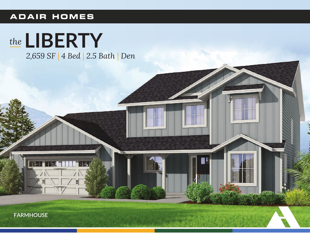## **ADAIR HOMES**



**FARMHOUSE**